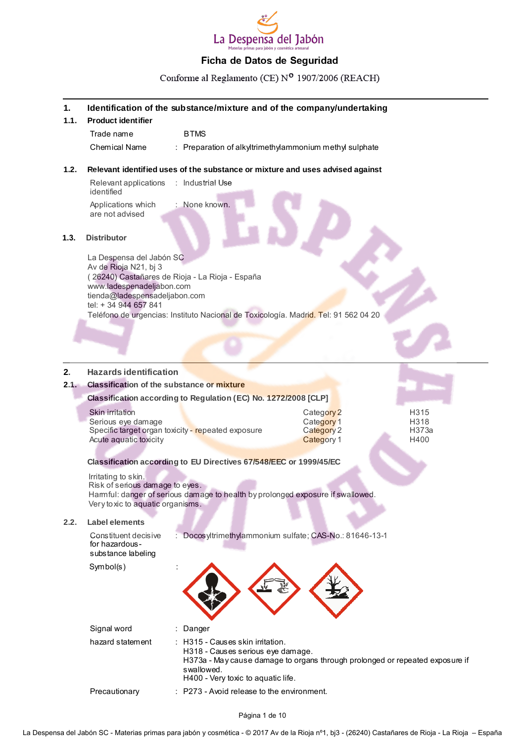

Conforme al Reglamento (CE) Nº 1907/2006 (REACH)

#### **1. Identification of the substance/mixture and of the company/undertaking**

| <b>Product identifier</b> |  |                                                                    |  |  |
|---------------------------|--|--------------------------------------------------------------------|--|--|
| Trade name                |  | <b>BTMS</b>                                                        |  |  |
| Chemical Name             |  | $\therefore$ Preparation of alkyltrimethylammonium methyl sulphate |  |  |

#### **1.2. Relevant identified uses of the substance or mixture and uses advised against**

Relevant applications : Industrial Use identified Applications which are not advised : None known.

#### **1.3. Distributor**

 $1.1.$ 

La Despensa del Jabón SC Av de Rioja N21, bj 3 ( 26240) Castañares de Rioja - La Rioja - España www.ladespenadeljabon.com tienda@ladespensadeljabon.com tel: + 34 944 657 841 Teléfono de urgencias: Instituto Nacional de Toxicología. Madrid. Tel: 91 562 04 20

### **2. Hazards identification**

#### **2.1. Classification of the substance or mixture**

| <b>Classification of the substance or mixture</b>                                                                     |                                                      |                                            |
|-----------------------------------------------------------------------------------------------------------------------|------------------------------------------------------|--------------------------------------------|
| Classification according to Regulation (EC) No. 1272/2008 [CLP]                                                       |                                                      |                                            |
| Skin irritation<br>Serious eye damage<br>Specific target organ toxicity - repeated exposure<br>Acute aquatic toxicity | Category 2<br>Category 1<br>Category 2<br>Category 1 | H <sub>3</sub> 15<br>H318<br>H373a<br>H400 |
| Clongification according to ELL Directives 67/549/EEC or 1000/45/EC                                                   |                                                      |                                            |

**Classification according to EU Directives 67/548/EEC or 1999/45/EC**

Irritating to skin.

Risk of serious damage to eyes. Harmful: danger of serious damage to health by prolonged exposure if swallowed. Very toxic to aquatic organisms.

#### **2.2. Label elements**

| Constituent decisive<br>for hazardous-<br>substance labeling | : Docosyltrimethylammonium sulfate; CAS-No.: 81646-13-1 |
|--------------------------------------------------------------|---------------------------------------------------------|
| Symbol(s)                                                    |                                                         |

| Signal word      | : Danger                                                                                                                                                                                                            |
|------------------|---------------------------------------------------------------------------------------------------------------------------------------------------------------------------------------------------------------------|
| hazard statement | $\therefore$ H315 - Causes skin initation.<br>H318 - Causes serious eye damage.<br>H373a - May cause damage to organs through prolonged or repeated exposure if<br>swallowed.<br>H400 - Very toxic to aquatic life. |
| Precautionary    | $\therefore$ P273 - Avoid release to the environment.                                                                                                                                                               |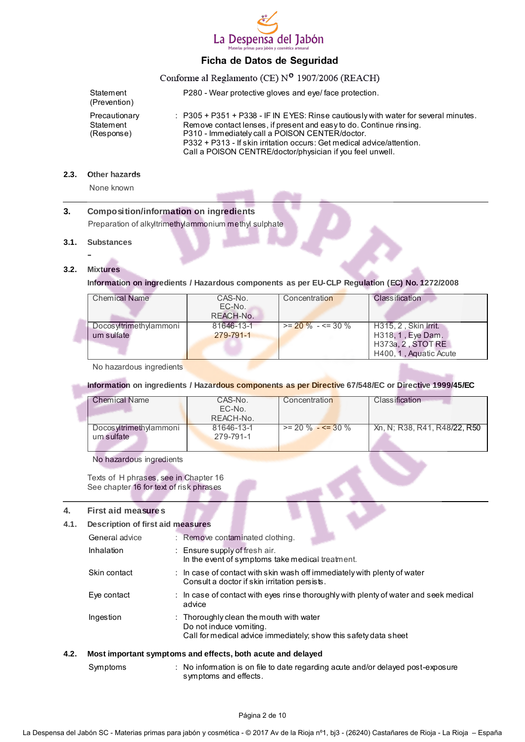

# Conforme al Reglamento (CE) Nº 1907/2006 (REACH)

| Statement<br>(Prevention)                | P280 - Wear protective gloves and eye/face protection.                                                                                                                                                                                                                                                                                                          |
|------------------------------------------|-----------------------------------------------------------------------------------------------------------------------------------------------------------------------------------------------------------------------------------------------------------------------------------------------------------------------------------------------------------------|
| Precautionary<br>Statement<br>(Response) | $\therefore$ P305 + P351 + P338 - IF IN EYES: Rinse cautiously with water for several minutes.<br>Remove contact lenses, if present and easy to do. Continue rinsing.<br>P310 - Immediately call a POISON CENTER/doctor.<br>P332 + P313 - If skin irritation occurs: Get medical advice/attention.<br>Call a POISON CENTRE/doctor/physician if you feel unwell. |

#### **2.3. Other hazards**

None known

#### **3. Composition/information on ingredients**

Preparation of alkyltrimethylammonium methyl sulphate

#### **3.1. Substances**

# **-**

#### **3.2. Mixtures**

#### **Information on ingredients / Hazardous components as per EU-CLP Regulation (EC) No. 1272/2008**

| Chemical Name          | CAS-No.    | Concentration          | <b>Classification</b>  |
|------------------------|------------|------------------------|------------------------|
|                        | EC-No.     |                        |                        |
|                        | REACH-No.  |                        |                        |
|                        |            |                        |                        |
| Docosyltrimethylammoni | 81646-13-1 | $>= 20 \% - \le 30 \%$ | H315.2. Skin Irrit.    |
| um sulfate             | 279-791-1  |                        | H318, 1, Eye Dam.      |
|                        |            |                        | H373a, 2, STOT RE      |
|                        |            |                        | H400, 1, Aquatic Acute |

No hazardous ingredients

#### **Information on ingredients / Hazardous components as per Directive 67/548/EC or Directive 1999/45/EC**

| Chemical Name           | CAS-No.    | Concentration          | <b>Classification</b>        |
|-------------------------|------------|------------------------|------------------------------|
|                         | EC-No.     |                        |                              |
|                         | REACH-No.  |                        |                              |
| Docos yltrimethylammoni | 81646-13-1 | $>= 20 \% - 5 = 30 \%$ | Xn, N; R38, R41, R48/22, R50 |
| um sulfate              | 279-791-1  |                        |                              |
|                         |            |                        |                              |

No hazardous ingredients

Texts of H phrases, see in Chapter 16 See chapter 16 for text of risk phrases

#### **4. First aid measures**

#### **4.1. Description of first aid measures**

|      | General advice | : Remove contaminated clothing.                                                                                                                   |
|------|----------------|---------------------------------------------------------------------------------------------------------------------------------------------------|
|      | Inhalation     | : Ensure supply of fresh air.<br>In the event of symptoms take medical treatment.                                                                 |
|      | Skin contact   | $\therefore$ In case of contact with skin wash off immediately with plenty of water<br>Consult a doctor if skin irritation persists.              |
|      | Eye contact    | : In case of contact with eyes rinse thoroughly with plenty of water and seek medical<br>advice                                                   |
|      | Ingestion      | $\therefore$ Thoroughly clean the mouth with water<br>Do not induce vomiting.<br>Call for medical advice immediately; show this safety data sheet |
| 4.2. |                | Most important symptoms and effects, both acute and delayed                                                                                       |

Symptoms : No information is on file to date regarding acute and/or delayed post-exposure symptoms and effects.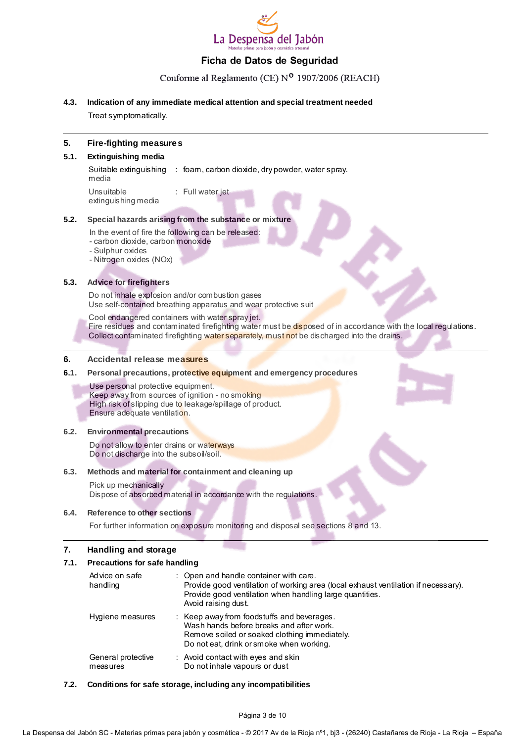

#### Conforme al Reglamento (CE) Nº 1907/2006 (REACH)

#### **4.3. Indication of any immediate medical attention and special treatment needed**

Treat symptomatically.

#### **5. Fire-fighting measures**

#### **5.1. Extinguishing media**

Suitable extinguishing : foam, carbon dioxide, dry powder, water spray. media

Unsuitable extinguishing media : Full water jet

#### **5.2. Special hazards arising from the substance or mixture**

In the event of fire the following can be released:

- carbon dioxide, carbon monoxide

- Sulphur oxides
- Nitrogen oxides (NOx)

#### **5.3. Advice for firefighters**

Do not inhale explosion and/or combustion gases Use self-contained breathing apparatus and wear protective suit

Cool endangered containers with water spray jet.

Fire residues and contaminated firefighting water must be disposed of in accordance with the local regulations. Collect contaminated firefighting water separately, must not be discharged into the drains.

#### **6. Accidental release measures**

#### **6.1. Personal precautions, protective equipment and emergency procedures**

Use personal protective equipment. Keep away from sources of ignition - no smoking High risk of slipping due to leakage/spillage of product. Ensure adequate ventilation.

#### **6.2. Environmental precautions**

Do not allow to enter drains or waterways Do not discharge into the subsoil/soil.

#### **6.3. Methods and material for containment and cleaning up**

Pick up mechanically Dispose of absorbed material in accordance with the regulations.

#### **6.4. Reference to other sections**

For further information on exposure monitoring and disposal see sections 8 and 13.

#### **7. Handling and storage**

#### **7.1. Precautions for safe handling**

| Advice on safe<br>handling     | : Open and handle container with care.<br>Provide good ventilation of working area (local exhaust ventilation if necessary).<br>Provide good ventilation when handling large quantities.<br>Avoid raising dust. |
|--------------------------------|-----------------------------------------------------------------------------------------------------------------------------------------------------------------------------------------------------------------|
| Hygiene measures               | : Keep away from foodstuffs and beverages.<br>Wash hands before breaks and after work.<br>Remove soiled or soaked clothing immediately.<br>Do not eat, drink or smoke when working.                             |
| General protective<br>measures | : Avoid contact with eyes and skin<br>Do not inhale vapours or dust                                                                                                                                             |

#### **7.2. Conditions for safe storage, including any incompatibilities**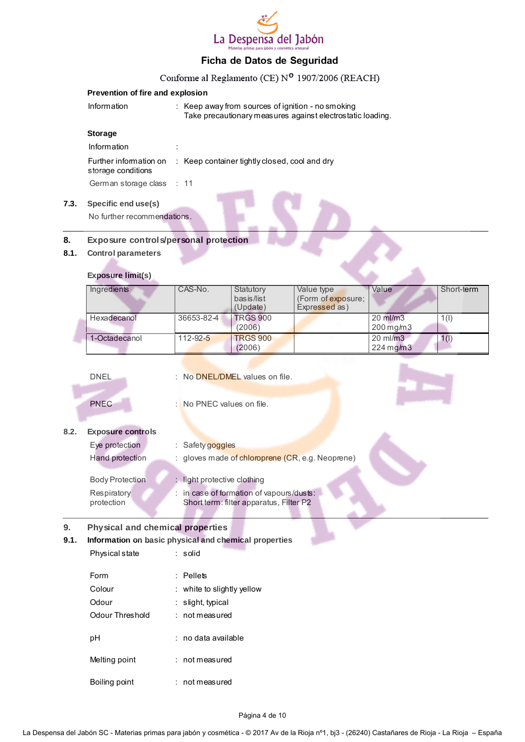

# $\overline{C}$  1 (CE)  $\overline{C}$  1907/2006

|      |                                                       |                             |                                                                                     | Conforme al Reglamento (CE) N° 1907/2006 (REACH)                                                                |                       |            |
|------|-------------------------------------------------------|-----------------------------|-------------------------------------------------------------------------------------|-----------------------------------------------------------------------------------------------------------------|-----------------------|------------|
|      | Prevention of fire and explosion                      |                             |                                                                                     |                                                                                                                 |                       |            |
|      | Information                                           |                             |                                                                                     | : Keep away from sources of ignition - no smoking<br>Take precautionary measures against electrostatic loading. |                       |            |
|      | <b>Storage</b>                                        |                             |                                                                                     |                                                                                                                 |                       |            |
|      | Information                                           |                             |                                                                                     |                                                                                                                 |                       |            |
|      | Further information on<br>storage conditions          |                             | : Keep container tightly closed, cool and dry                                       |                                                                                                                 |                       |            |
|      | German storage class                                  | $\therefore$ 11             |                                                                                     |                                                                                                                 |                       |            |
|      |                                                       |                             |                                                                                     |                                                                                                                 |                       |            |
| 7.3. | Specific end use(s)                                   |                             |                                                                                     |                                                                                                                 |                       |            |
|      | No further recommendations.                           |                             |                                                                                     |                                                                                                                 |                       |            |
| 8.   | Exposure controls/personal protection                 |                             |                                                                                     |                                                                                                                 |                       |            |
| 8.1. | <b>Control parameters</b>                             |                             |                                                                                     |                                                                                                                 |                       |            |
|      |                                                       |                             |                                                                                     |                                                                                                                 |                       |            |
|      | <b>Exposure limit(s)</b>                              |                             |                                                                                     |                                                                                                                 |                       |            |
|      | Ingredients                                           | CAS-No.                     | Statutory<br>basis/list<br>(Update)                                                 | Value type<br>(Form of exposure;<br>Expressed as)                                                               | Value                 | Short-term |
|      | Hexadecanol                                           | 36653-82-4                  | <b>TRGS 900</b>                                                                     |                                                                                                                 | 20 ml/m3              | 1(1)       |
|      |                                                       |                             | (2006)                                                                              |                                                                                                                 | 200 mg/m3             |            |
|      | 1-Octadecanol                                         | $112 - 92 - 5$              | <b>TRGS 900</b><br>(2006)                                                           |                                                                                                                 | 20 ml/m3<br>224 mg/m3 | 1(1)       |
|      |                                                       |                             |                                                                                     |                                                                                                                 |                       |            |
|      | <b>DNEL</b>                                           |                             | : No DNEL/DMEL values on file.                                                      |                                                                                                                 |                       |            |
|      | <b>PNEC</b>                                           | : No PNEC values on file.   |                                                                                     |                                                                                                                 |                       |            |
| 8.2. | <b>Exposure controls</b>                              |                             |                                                                                     |                                                                                                                 |                       |            |
|      | Eye protection                                        | : Safety goggles            |                                                                                     |                                                                                                                 |                       |            |
|      | Hand protection                                       |                             |                                                                                     | : gloves made of chloroprene (CR, e.g. Neoprene)                                                                |                       |            |
|      |                                                       |                             |                                                                                     |                                                                                                                 |                       |            |
|      | <b>Body Protection</b>                                | : light protective clothing |                                                                                     |                                                                                                                 |                       |            |
|      | Respiratory<br>protection                             |                             | : in case of formation of vapours/dusts:<br>Short term: filter apparatus, Filter P2 |                                                                                                                 |                       |            |
| 9.   | Physical and chemical properties                      |                             |                                                                                     |                                                                                                                 |                       |            |
| 9.1. | Information on basic physical and chemical properties |                             |                                                                                     |                                                                                                                 |                       |            |
|      | Physical state                                        | : solid                     |                                                                                     |                                                                                                                 |                       |            |
|      |                                                       |                             |                                                                                     |                                                                                                                 |                       |            |
|      | Form                                                  | : Pellets                   |                                                                                     |                                                                                                                 |                       |            |
|      | Colour                                                | : white to slightly yellow  |                                                                                     |                                                                                                                 |                       |            |
|      | Odour                                                 | : slight, typical           |                                                                                     |                                                                                                                 |                       |            |
|      | Odour Threshold                                       | : not measured              |                                                                                     |                                                                                                                 |                       |            |
|      | pH                                                    | : no data available         |                                                                                     |                                                                                                                 |                       |            |
|      | Melting point                                         | : not measured              |                                                                                     |                                                                                                                 |                       |            |

Boiling point : not measured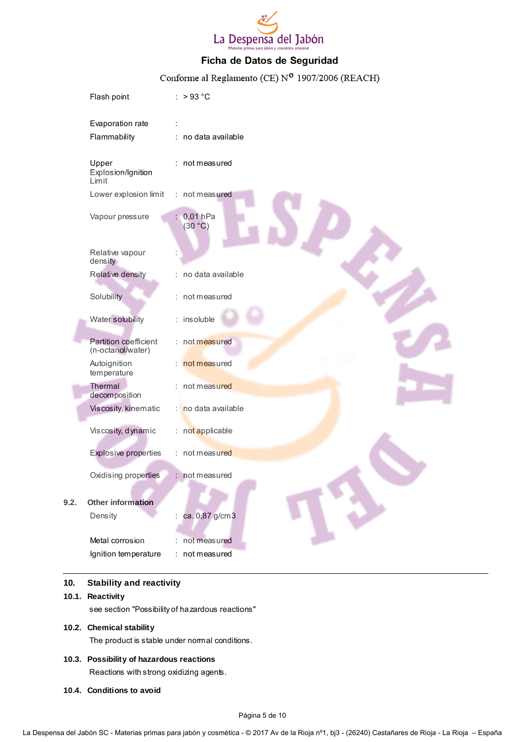

# Conforme al Reglamento (CE) Nº 1907/2006 (REACH)

| Flash point                                | : $>93^{\circ}$ C     |
|--------------------------------------------|-----------------------|
| Evaporation rate                           |                       |
| Flammability                               | : no data available   |
| Upper<br>Explosion/Ignition<br>Limit       | not measured          |
| Lower explosion limit                      | : not measured        |
| Vapour pressure                            | : 0,01 hPa<br>(30 °C) |
| Relative vapour<br>density                 |                       |
| Relative density                           | no data available     |
| Solubility                                 | : not measured        |
| Water solubility                           | : insoluble           |
| Partition coefficient<br>(n-octanol/water) | : not measured        |
| Autoignition<br>temperature                | : not measured        |
| Thermal<br>decomposition                   | : not measured        |
| Viscosity, kinematic                       | : no data available   |
| Viscosity, dynamic                         | : not applicable      |
| <b>Explosive properties</b>                | : not measured        |
| Oxidising properties                       | not measured          |
| <b>Other information</b>                   |                       |
| Density                                    | ca. 0,87 g/cm3        |
| Metal corrosion                            | not measured          |
| Ignition temperature                       | not measured          |

#### **10. Stability and reactivity**

**10.1. Reactivity**

**9.2.** 

see section "Possibility of hazardous reactions"

#### **10.2. Chemical stability**

The product is stable under normal conditions.

- **10.3. Possibility of hazardous reactions** Reactions with strong oxidizing agents.
- **10.4. Conditions to avoid**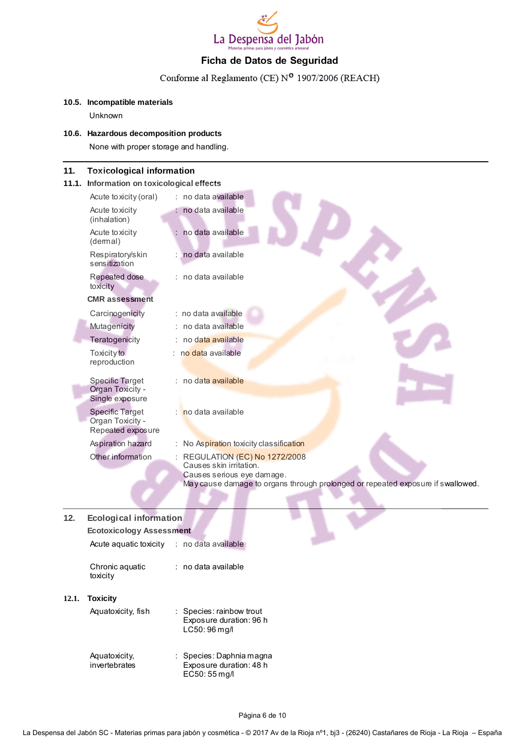

# Conforme al Reglamento (CE) Nº 1907/2006 (REACH)

#### **10.5. Incompatible materials**

Unknown

#### **10.6. Hazardous decomposition products**

None with proper storage and handling.

#### **11. Toxicological information**

#### **11.1. Information on toxicological effects**

| no data available                                                                                                                                                        |
|--------------------------------------------------------------------------------------------------------------------------------------------------------------------------|
| no data available                                                                                                                                                        |
| no data available                                                                                                                                                        |
| no data available                                                                                                                                                        |
| : no data available                                                                                                                                                      |
|                                                                                                                                                                          |
| : no data available                                                                                                                                                      |
| no data available                                                                                                                                                        |
| no data available                                                                                                                                                        |
| : no data available                                                                                                                                                      |
| : no data available                                                                                                                                                      |
| no data available                                                                                                                                                        |
| No Aspiration toxicity classification                                                                                                                                    |
| REGULATION (EC) No 1272/2008<br>Causes skin irritation.<br>Causes serious eye damage.<br>May cause damage to organs through prolonged or repeated exposure if swallowed. |
|                                                                                                                                                                          |

# **12. Ecological information Ecotoxicology Assessment** Acute aquatic toxicity : no data available Chronic aquatic toxicity : no data available **12.1. Toxicity** Aquatoxicity, fish : Species: rainbow trout Exposure duration: 96 h

| Aquatoxicity, | $\therefore$ Species: Daphnia magna |
|---------------|-------------------------------------|
| invertebrates | Exposure duration: 48 h             |
|               | EC50: 55 mg/l                       |

LC50: 96 mg/l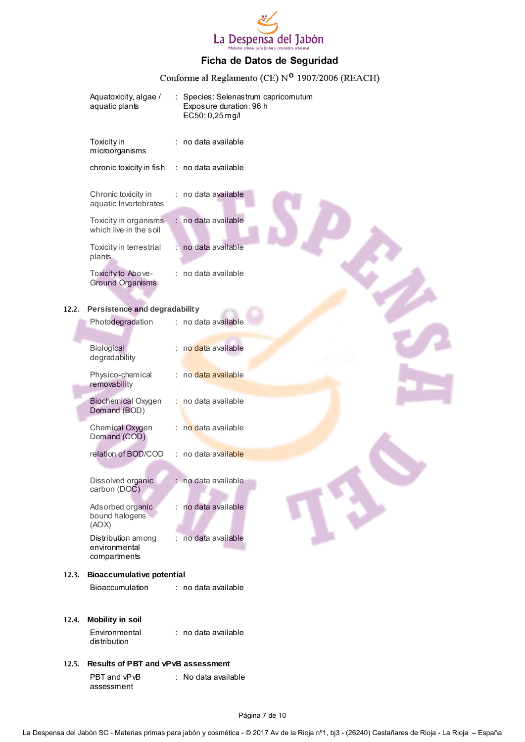

# Conforme al Reglamento (CE) Nº 1907/2006 (REACH)

|       | Aquatoxicity, algae /<br>aquatic plants             |    | Exposure duration: 96 h<br>EC50: 0,25 mg/l | Species: Selenastrum capricomutum |
|-------|-----------------------------------------------------|----|--------------------------------------------|-----------------------------------|
|       | Toxicity in<br>microorganisms                       |    | no data available                          |                                   |
|       | chronic toxicity in fish                            |    | : no data available                        |                                   |
|       | Chronic toxicity in<br>aquatic Invertebrates        |    | no data available                          |                                   |
|       | Toxicity in organisms<br>which live in the soil     |    | : no data available                        |                                   |
|       | Toxicity in terrestrial<br>plants                   |    | no data available                          |                                   |
|       | Toxicity to Above-<br><b>Ground Organisms</b>       |    | : no data available                        |                                   |
|       |                                                     |    |                                            |                                   |
| 12.2. | Persistence and degradability<br>Photodegradation   |    | : no data available                        |                                   |
|       |                                                     |    |                                            |                                   |
|       | <b>Biological</b><br>degradability                  |    | : no data available                        |                                   |
|       | Physico-chemical<br>removability                    |    | : no data available                        |                                   |
|       | <b>Biochemical Oxygen</b><br>Demand (BOD)           | т. | no data available                          |                                   |
|       | Chemical Oxygen<br>Demand (COD)                     |    | : no data available                        |                                   |
|       | relation of BOD/COD                                 |    | : no data available                        |                                   |
|       |                                                     |    | : no data available                        |                                   |
|       | Dissolved organic<br>carbon (DOC)                   |    |                                            |                                   |
|       | Adsorbed organic                                    |    | no data available                          |                                   |
|       | bound halogens<br>(AOX)                             |    |                                            |                                   |
|       | Distribution among<br>environmental<br>compartments |    | : no data available                        |                                   |
| 12.3. | <b>Bioaccumulative potential</b>                    |    |                                            |                                   |
|       | <b>Bioaccumulation</b>                              |    | : no data available                        |                                   |
| 12.4. | <b>Mobility in soil</b>                             |    |                                            |                                   |
|       | Environmental<br>distribution                       |    | : no data available                        |                                   |
| 12.5. | <b>Results of PBT and vPvB assessment</b>           |    |                                            |                                   |
|       | PBT and vPvB<br>assessment                          |    | : No data available                        |                                   |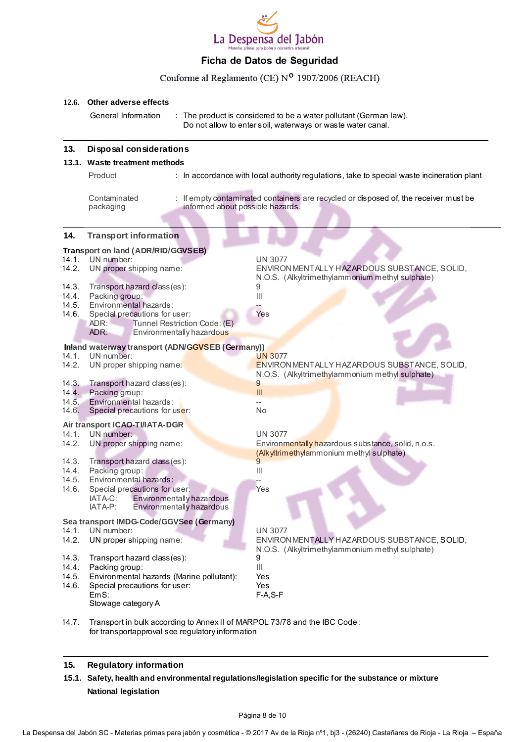

#### Conforme al Reglamento (CE) Nº 1907/2006 (REACH)

#### **12.6. Other adverse effects**

General Information : The product is considered to be a water pollutant (German law). Do not allow to enter soil, waterways or waste water canal.

#### **13. Disposal considerations**

#### **13.1. Waste treatment methods**

Product **in accordance with local authority regulations**, take to special waste incineration plant **Contaminated** packaging : If empty contaminated containers are recycled or disposed of, the receiver must be informed about possible hazards.

| 14.                                                | <b>Transport information</b>                                                                                                                                                              |                                                                                                                                                |
|----------------------------------------------------|-------------------------------------------------------------------------------------------------------------------------------------------------------------------------------------------|------------------------------------------------------------------------------------------------------------------------------------------------|
| 14.1.<br>14.2.<br>14.3.<br>14.4.<br>14.5.<br>14.6. | Transport on land (ADR/RID/GGVSEB)<br>UN number:<br>UN proper shipping name:<br>Transport hazard class (es):<br>Packing group:<br>Environmental hazards:<br>Special precautions for user: | <b>UN 3077</b><br>ENVIRONMENTALLY HAZARDOUS SUBSTANCE, SOLID,<br>N.O.S. (Alkyltrimethylammonium methyl sulphate)<br>9<br>$\mathbf{III}$<br>Yes |
|                                                    | Tunnel Restriction Code: (E)<br>ADR:<br>ADR:<br>Environmentally hazardous                                                                                                                 |                                                                                                                                                |
|                                                    | Inland waterway transport (ADN/GGVSEB (Germany))                                                                                                                                          |                                                                                                                                                |
| 14.1.<br>14.2.                                     | UN number:<br>UN proper shipping name:                                                                                                                                                    | <b>UN 3077</b><br>ENVIRON MENTALLY HAZARDOUS SUBSTANCE, SOLID,<br>N.O.S. (Alkyltrimethylammonium methyl sulphate)                              |
| 14.3.                                              | Transport hazard class (es):                                                                                                                                                              | $\overline{9}$                                                                                                                                 |
| 14.4.                                              | Packing group:                                                                                                                                                                            | III                                                                                                                                            |
| 14.5.<br>14.6.                                     | Environmental hazards:<br>Special precautions for user:                                                                                                                                   | $-$<br><b>No</b>                                                                                                                               |
|                                                    | Air transport ICAO-TI/IATA-DGR                                                                                                                                                            |                                                                                                                                                |
| 14.1.                                              | UN number:                                                                                                                                                                                | <b>UN 3077</b>                                                                                                                                 |
| 14.2.                                              | UN proper shipping name:                                                                                                                                                                  | Environmentally hazardous substance, solid, n.o.s.<br>(Alkyltrimethylammonium methyl sulphate)                                                 |
| 14.3.                                              | Transport hazard class (es):                                                                                                                                                              |                                                                                                                                                |
| 14.4.                                              | Packing group:                                                                                                                                                                            | $\  \, \ $                                                                                                                                     |
| 14.5.<br>14.6.                                     | Environmental hazards:<br>Special precautions for user:                                                                                                                                   | Yes                                                                                                                                            |
|                                                    | Environmentally hazardous<br>IATA-C:<br>Environmentally hazardous<br>IATA-P:                                                                                                              |                                                                                                                                                |
|                                                    | Sea transport IMDG-Code/GGVSee (Germany)                                                                                                                                                  |                                                                                                                                                |
| 14.1.                                              | UN number:                                                                                                                                                                                | <b>UN 3077</b>                                                                                                                                 |
| 14.2.                                              | UN proper shipping name:                                                                                                                                                                  | ENVIRON MENTALLY HAZARDOUS SUBSTANCE, SOLID,                                                                                                   |
| 14.3.<br>14.4.                                     | Transport hazard class(es):                                                                                                                                                               | N.O.S. (Alkyltrimethylammonium methyl sulphate)<br>9                                                                                           |
|                                                    | Packing group:                                                                                                                                                                            | Ш                                                                                                                                              |
| 14.5.                                              | Environmental hazards (Marine pollutant):                                                                                                                                                 | Yes                                                                                                                                            |
| 14.6.                                              | Special precautions for user:<br>EmS:<br>Stowage category A                                                                                                                               | <b>Yes</b><br>$F-A, S-F$                                                                                                                       |
|                                                    |                                                                                                                                                                                           |                                                                                                                                                |

14.7. Transport in bulk according to Annex II of MARPOL 73/78 and the IBC Code: for transportapproval see regulatory information

#### **15. Regulatory information**

**15.1. Safety, health and environmental regulations/legislation specific for the substance or mixture National legislation**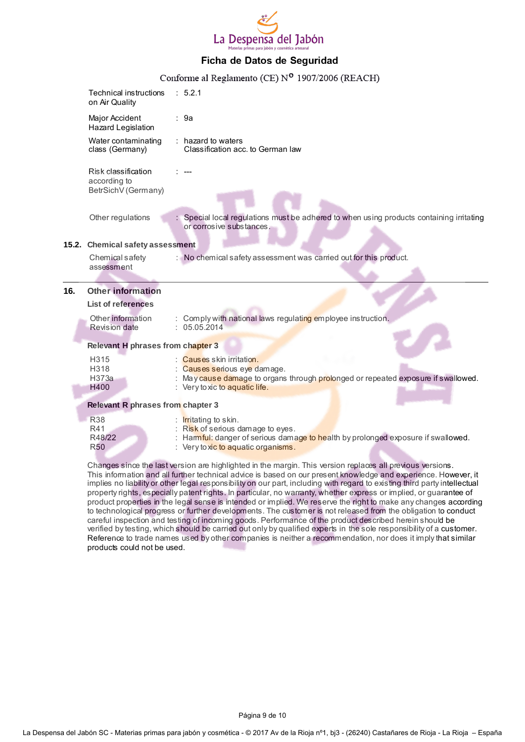

|     |                                                            | Conforme al Reglamento (CE) Nº 1907/2006 (REACH)                                                                                                                                          |
|-----|------------------------------------------------------------|-------------------------------------------------------------------------------------------------------------------------------------------------------------------------------------------|
|     | Technical instructions<br>on Air Quality                   | : 5.2.1                                                                                                                                                                                   |
|     | Major Accident<br><b>Hazard Legislation</b>                | : 9a                                                                                                                                                                                      |
|     | Water contaminating<br>class (Germany)                     | $:$ hazard to waters<br>Classification acc. to German law                                                                                                                                 |
|     | Risk classification<br>according to<br>BetrSichV (Germany) |                                                                                                                                                                                           |
|     | Other regulations                                          | : Special local regulations must be adhered to when using products containing irritating<br>or corrosive substances.                                                                      |
|     | 15.2. Chemical safety assessment                           |                                                                                                                                                                                           |
|     | Chemical safety<br>assessment                              | : No chemical safety assessment was carried out for this product.                                                                                                                         |
|     |                                                            |                                                                                                                                                                                           |
| 16. | <b>Other information</b><br><b>List of references</b>      |                                                                                                                                                                                           |
|     | Other information<br><b>Revision date</b>                  | Comply with national laws regulating employee instruction.<br>: 05.05.2014                                                                                                                |
|     | Relevant H phrases from chapter 3                          |                                                                                                                                                                                           |
|     | H315<br>H318<br>H373a<br>H400                              | <b>Causes</b> skin irritation.<br>Causes serious eye damage.<br>May cause damage to organs through prolonged or repeated exposure if swallowed.<br>: Very to xic to aquatic life.         |
|     | Relevant R phrases from chapter 3                          |                                                                                                                                                                                           |
|     | <b>R38</b><br>R41<br>R48/22<br><b>R50</b>                  | <b>Irritating to skin.</b><br>Risk of serious damage to eyes.<br>: Harmful: danger of serious damage to health by prolonged exposure if swallowed.<br>: Very to xic to aquatic organisms. |

Changes since the last version are highlighted in the margin. This version replaces all previous versions. This information and all further technical advice is based on our present knowledge and experience. However, it implies no liability or other legal responsibility on our part, including with regard to existing third party intellectual property rights, especially patent rights. In particular, no warranty, whether express or implied, or guarantee of product properties in the legal sense is intended or implied. We reserve the right to make any changes according to technological progress or further developments. The customer is not released from the obligation to conduct careful inspection and testing of incoming goods. Performance of the product described herein should be verified by testing, which should be carried out only by qualified experts in the sole responsibility of a customer. Reference to trade names used by other companies is neither a recommendation, nor does it imply that similar products could not be used.